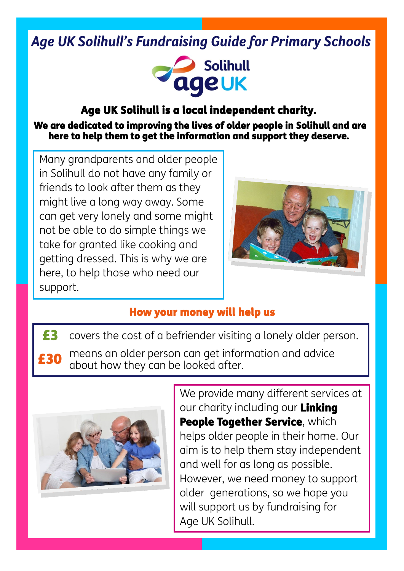# *Age UK Solihull's Fundraising Guide for Primary Schools*



## Age UK Solihull is a local independent charity.

 We are dedicated to improving the lives of older people in Solihull and are here to help them to get the information and support they deserve.

Many grandparents and older people in Solihull do not have any family or friends to look after them as they might live a long way away. Some can get very lonely and some might not be able to do simple things we take for granted like cooking and getting dressed. This is why we are here, to help those who need our support.



## How your money will help us

£3 £30 covers the cost of a befriender visiting a lonely older person. means an older person can get information and advice about how they can be looked after.



We provide many different services at our charity including our Linking People Together Service, which helps older people in their home. Our aim is to help them stay independent and well for as long as possible. However, we need money to support older generations, so we hope you will support us by fundraising for Age UK Solihull.